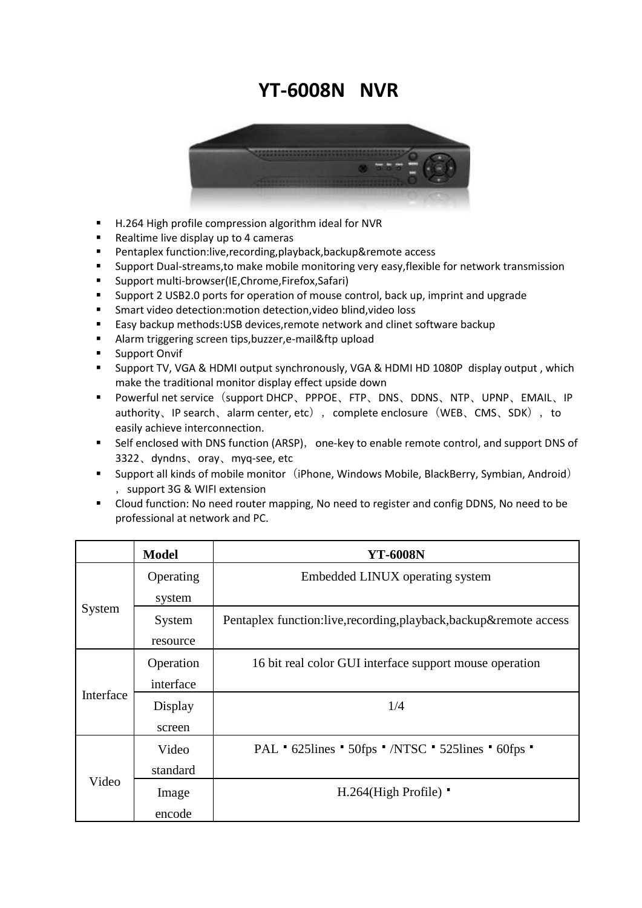## **YT-6008N NVR**



- H.264 High profile compression algorithm ideal for NVR
- Realtime live display up to 4 cameras
- Pentaplex function:live,recording,playback,backup&remote access
- Support Dual-streams,to make mobile monitoring very easy,flexible for network transmission
- Support multi-browser(IE,Chrome,Firefox,Safari)
- Support 2 USB2.0 ports for operation of mouse control, back up, imprint and upgrade
- Smart video detection:motion detection,video blind,video loss
- Easy backup methods: USB devices, remote network and clinet software backup
- Alarm triggering screen tips,buzzer,e-mail&ftp upload
- **Support Onvif**
- Support TV, VGA & HDMI output synchronously, VGA & HDMI HD 1080P display output , which make the traditional monitor display effect upside down
- Powerful net service (support DHCP、PPPOE、FTP、DNS、DDNS、NTP、UPNP、EMAIL、IP authority、IP search、alarm center, etc), complete enclosure(WEB、CMS、SDK), to easily achieve interconnection.
- Self enclosed with DNS function (ARSP), one-key to enable remote control, and support DNS of 3322、dyndns、oray、myq-see, etc
- Support all kinds of mobile monitor (iPhone, Windows Mobile, BlackBerry, Symbian, Android) ,support 3G & WIFI extension
- Cloud function: No need router mapping, No need to register and config DDNS, No need to be professional at network and PC.

|           | <b>Model</b> | <b>YT-6008N</b>                                                     |
|-----------|--------------|---------------------------------------------------------------------|
| System    | Operating    | Embedded LINUX operating system                                     |
|           | system       |                                                                     |
|           | System       | Pentaplex function:live, recording, playback, backup& remote access |
|           | resource     |                                                                     |
| Interface | Operation    | 16 bit real color GUI interface support mouse operation             |
|           | interface    |                                                                     |
|           | Display      | 1/4                                                                 |
|           | screen       |                                                                     |
| Video     | Video        | PAL * 625lines * 50fps * /NTSC * 525lines * 60fps *                 |
|           | standard     |                                                                     |
|           | Image        | $H.264$ (High Profile)                                              |
|           | encode       |                                                                     |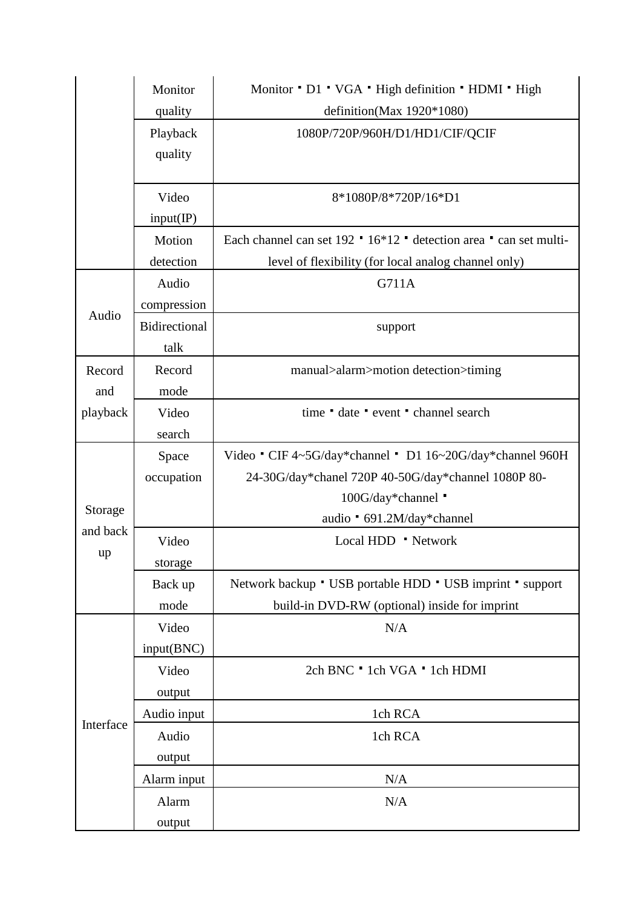|           | Monitor       | Monitor ' D1 ' VGA ' High definition ' HDMI ' High                 |
|-----------|---------------|--------------------------------------------------------------------|
|           | quality       | definition(Max 1920*1080)                                          |
|           | Playback      | 1080P/720P/960H/D1/HD1/CIF/QCIF                                    |
|           | quality       |                                                                    |
|           |               |                                                                    |
|           | Video         | 8*1080P/8*720P/16*D1                                               |
|           | input/IP)     |                                                                    |
|           | Motion        | Each channel can set 192 · 16*12 · detection area · can set multi- |
|           | detection     | level of flexibility (for local analog channel only)               |
| Audio     | Audio         | G711A                                                              |
|           | compression   |                                                                    |
|           | Bidirectional | support                                                            |
|           | talk          |                                                                    |
| Record    | Record        | manual>alarm>motion detection>timing                               |
| and       | mode          |                                                                    |
| playback  | Video         | time date event channel search                                     |
|           | search        |                                                                    |
|           | Space         | Video CIF 4~5G/day*channel D1 16~20G/day*channel 960H              |
|           | occupation    | 24-30G/day*chanel 720P 40-50G/day*channel 1080P 80-                |
|           |               | 100G/day*channel                                                   |
| Storage   |               | audio * 691.2M/day*channel                                         |
| and back  | Video         | Local HDD ' Network                                                |
| up        | storage       |                                                                    |
|           | Back up       | Network backup * USB portable HDD * USB imprint * support          |
|           | mode          | build-in DVD-RW (optional) inside for imprint                      |
| Interface | Video         | N/A                                                                |
|           | input(BNC)    |                                                                    |
|           | Video         | 2ch BNC · 1ch VGA · 1ch HDMI                                       |
|           | output        |                                                                    |
|           | Audio input   | 1ch RCA                                                            |
|           | Audio         | 1ch RCA                                                            |
|           | output        |                                                                    |
|           | Alarm input   | N/A                                                                |
|           | Alarm         | N/A                                                                |
|           | output        |                                                                    |